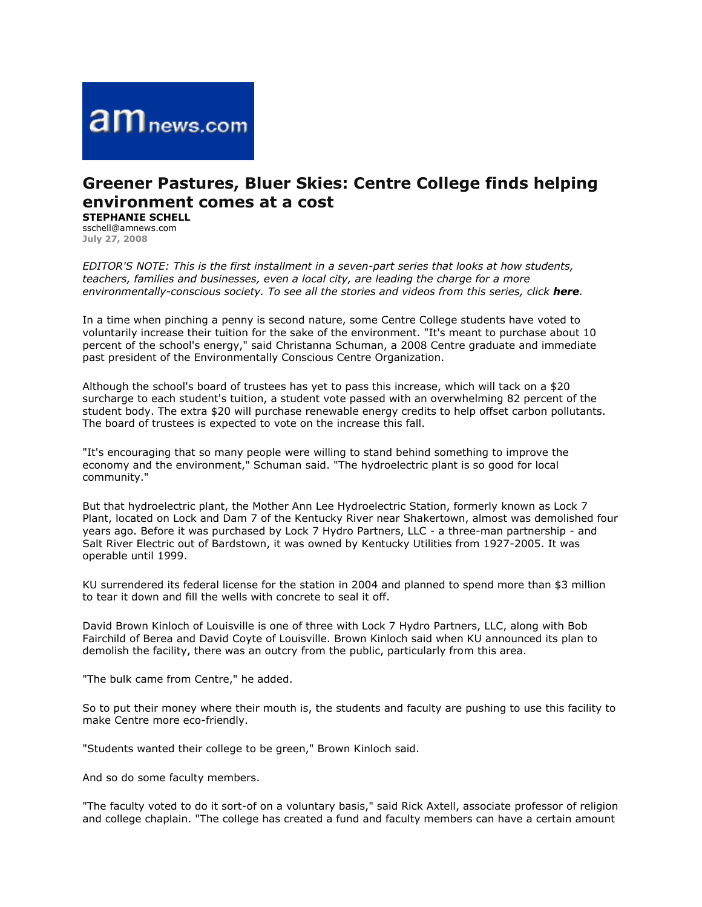

## **Greener Pastures, Bluer Skies: Centre College finds helping environment comes at a cost**

**STEPHANIE SCHELL** sschell@amnews.com

**July 27, 2008**

*EDITOR'S NOTE: This is the first installment in a seven-part series that looks at how students, teachers, families and businesses, even a local city, are leading the charge for a more environmentally-conscious society. To see all the stories and videos from this series, click here.*

In a time when pinching a penny is second nature, some Centre College students have voted to voluntarily increase their tuition for the sake of the environment. "It's meant to purchase about 10 percent of the school's energy," said Christanna Schuman, a 2008 Centre graduate and immediate past president of the Environmentally Conscious Centre Organization.

Although the school's board of trustees has yet to pass this increase, which will tack on a \$20 surcharge to each student's tuition, a student vote passed with an overwhelming 82 percent of the student body. The extra \$20 will purchase renewable energy credits to help offset carbon pollutants. The board of trustees is expected to vote on the increase this fall.

"It's encouraging that so many people were willing to stand behind something to improve the economy and the environment," Schuman said. "The hydroelectric plant is so good for local community."

But that hydroelectric plant, the Mother Ann Lee Hydroelectric Station, formerly known as Lock 7 Plant, located on Lock and Dam 7 of the Kentucky River near Shakertown, almost was demolished four years ago. Before it was purchased by Lock 7 Hydro Partners, LLC - a three-man partnership - and Salt River Electric out of Bardstown, it was owned by Kentucky Utilities from 1927-2005. It was operable until 1999.

KU surrendered its federal license for the station in 2004 and planned to spend more than \$3 million to tear it down and fill the wells with concrete to seal it off.

David Brown Kinloch of Louisville is one of three with Lock 7 Hydro Partners, LLC, along with Bob Fairchild of Berea and David Coyte of Louisville. Brown Kinloch said when KU announced its plan to demolish the facility, there was an outcry from the public, particularly from this area.

"The bulk came from Centre," he added.

So to put their money where their mouth is, the students and faculty are pushing to use this facility to make Centre more eco-friendly.

"Students wanted their college to be green," Brown Kinloch said.

And so do some faculty members.

"The faculty voted to do it sort-of on a voluntary basis," said Rick Axtell, associate professor of religion and college chaplain. "The college has created a fund and faculty members can have a certain amount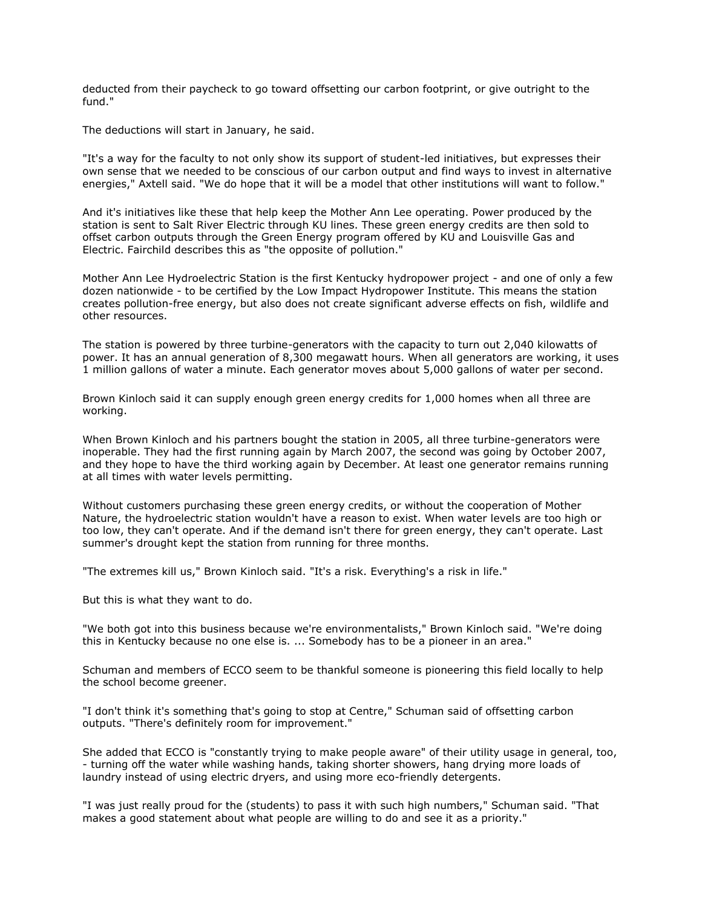deducted from their paycheck to go toward offsetting our carbon footprint, or give outright to the fund."

The deductions will start in January, he said.

"It's a way for the faculty to not only show its support of student-led initiatives, but expresses their own sense that we needed to be conscious of our carbon output and find ways to invest in alternative energies," Axtell said. "We do hope that it will be a model that other institutions will want to follow."

And it's initiatives like these that help keep the Mother Ann Lee operating. Power produced by the station is sent to Salt River Electric through KU lines. These green energy credits are then sold to offset carbon outputs through the Green Energy program offered by KU and Louisville Gas and Electric. Fairchild describes this as "the opposite of pollution."

Mother Ann Lee Hydroelectric Station is the first Kentucky hydropower project - and one of only a few dozen nationwide - to be certified by the Low Impact Hydropower Institute. This means the station creates pollution-free energy, but also does not create significant adverse effects on fish, wildlife and other resources.

The station is powered by three turbine-generators with the capacity to turn out 2,040 kilowatts of power. It has an annual generation of 8,300 megawatt hours. When all generators are working, it uses 1 million gallons of water a minute. Each generator moves about 5,000 gallons of water per second.

Brown Kinloch said it can supply enough green energy credits for 1,000 homes when all three are working.

When Brown Kinloch and his partners bought the station in 2005, all three turbine-generators were inoperable. They had the first running again by March 2007, the second was going by October 2007, and they hope to have the third working again by December. At least one generator remains running at all times with water levels permitting.

Without customers purchasing these green energy credits, or without the cooperation of Mother Nature, the hydroelectric station wouldn't have a reason to exist. When water levels are too high or too low, they can't operate. And if the demand isn't there for green energy, they can't operate. Last summer's drought kept the station from running for three months.

"The extremes kill us," Brown Kinloch said. "It's a risk. Everything's a risk in life."

But this is what they want to do.

"We both got into this business because we're environmentalists," Brown Kinloch said. "We're doing this in Kentucky because no one else is. ... Somebody has to be a pioneer in an area."

Schuman and members of ECCO seem to be thankful someone is pioneering this field locally to help the school become greener.

"I don't think it's something that's going to stop at Centre," Schuman said of offsetting carbon outputs. "There's definitely room for improvement."

She added that ECCO is "constantly trying to make people aware" of their utility usage in general, too, - turning off the water while washing hands, taking shorter showers, hang drying more loads of laundry instead of using electric dryers, and using more eco-friendly detergents.

"I was just really proud for the (students) to pass it with such high numbers," Schuman said. "That makes a good statement about what people are willing to do and see it as a priority."